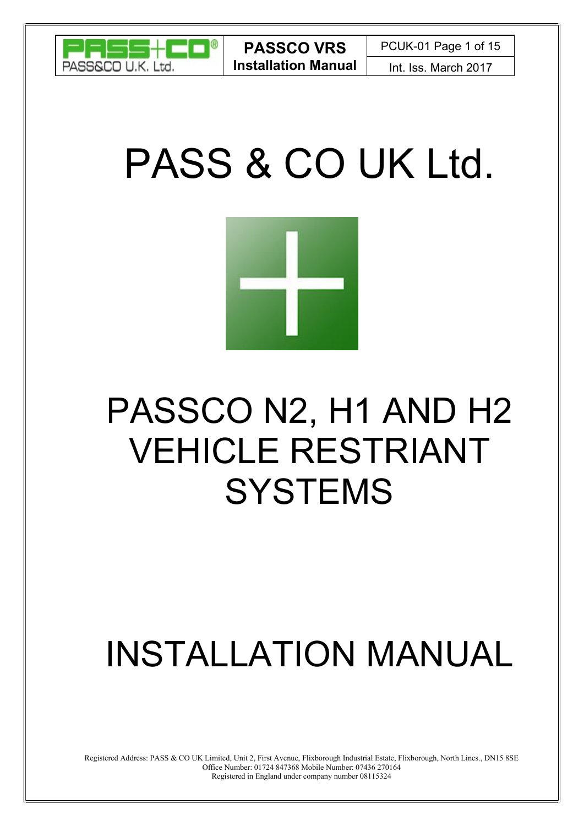

# PASS & CO UK Ltd.



## PASSCO N2, H1 AND H2 VEHICLE RESTRIANT **SYSTEMS**

## INSTALLATION MANUAL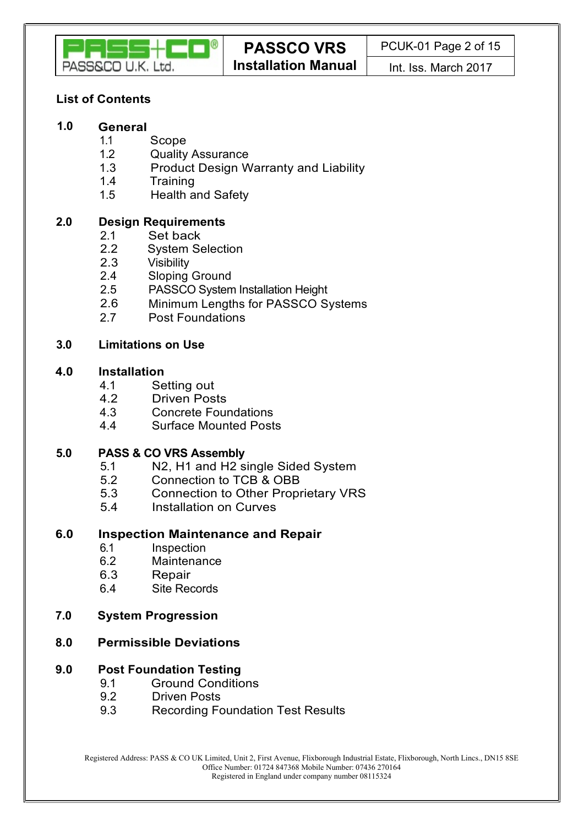

## List of Contents

#### 1.0 General

- 1.1 Scope
- 1.2 Quality Assurance
- 1.3 Product Design Warranty and Liability
- 1.4 Training
- 1.5 Health and Safety

## 2.0 Design Requirements

- 
- 2.1 Set back<br>2.2 Svstem Se **System Selection**
- 2.3 Visibility
- 2.4 Sloping Ground
- 2.5 PASSCO System Installation Height
- 2.6 Minimum Lengths for PASSCO Systems
- 2.7 Post Foundations

#### 3.0 Limitations on Use

#### 4.0 Installation

- 4.1 Setting out
- 4.2 Driven Posts
- 4.3 Concrete Foundations
- 4.4 Surface Mounted Posts

#### 5.0 PASS & CO VRS Assembly

- 5.1 N2, H1 and H2 single Sided System
- 5.2 Connection to TCB & OBB
- 5.3 Connection to Other Proprietary VRS
- 5.4 Installation on Curves

#### 6.0 Inspection Maintenance and Repair

- 6.1 Inspection
- 6.2 Maintenance
- 6.3 Repair
- 6.4 Site Records
- 7.0 System Progression

#### 8.0 Permissible Deviations

#### 9.0 Post Foundation Testing

- 9.1 Ground Conditions
- 9.2 Driven Posts
- 9.3 Recording Foundation Test Results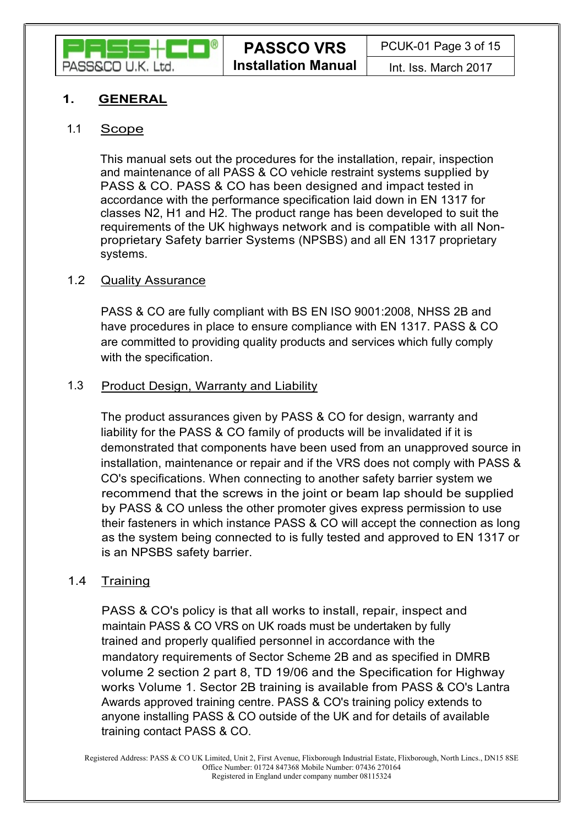

## 1. **GENERAL**

## 1.1 Scope

This manual sets out the procedures for the installation, repair, inspection and maintenance of all PASS & CO vehicle restraint systems supplied by PASS & CO. PASS & CO has been designed and impact tested in accordance with the performance specification laid down in EN 1317 for classes N2, H1 and H2. The product range has been developed to suit the requirements of the UK highways network and is compatible with all Nonproprietary Safety barrier Systems (NPSBS) and all EN 1317 proprietary systems.

## 1.2 Quality Assurance

PASS & CO are fully compliant with BS EN ISO 9001:2008, NHSS 2B and have procedures in place to ensure compliance with EN 1317. PASS & CO are committed to providing quality products and services which fully comply with the specification.

## 1.3 Product Design, Warranty and Liability

The product assurances given by PASS & CO for design, warranty and liability for the PASS & CO family of products will be invalidated if it is demonstrated that components have been used from an unapproved source in installation, maintenance or repair and if the VRS does not comply with PASS & CO's specifications. When connecting to another safety barrier system we recommend that the screws in the joint or beam lap should be supplied by PASS & CO unless the other promoter gives express permission to use their fasteners in which instance PASS & CO will accept the connection as long as the system being connected to is fully tested and approved to EN 1317 or is an NPSBS safety barrier.

## 1.4 Training

PASS & CO's policy is that all works to install, repair, inspect and maintain PASS & CO VRS on UK roads must be undertaken by fully trained and properly qualified personnel in accordance with the mandatory requirements of Sector Scheme 2B and as specified in DMRB volume 2 section 2 part 8, TD 19/06 and the Specification for Highway works Volume 1. Sector 2B training is available from PASS & CO's Lantra Awards approved training centre. PASS & CO's training policy extends to anyone installing PASS & CO outside of the UK and for details of available training contact PASS & CO.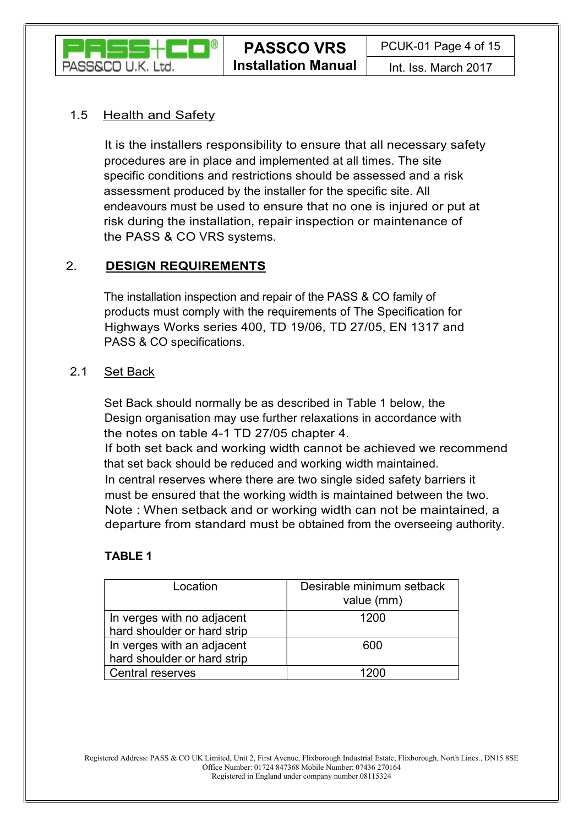

## 1.5 Health and Safety

It is the installers responsibility to ensure that all necessary safety procedures are in place and implemented at all times. The site specific conditions and restrictions should be assessed and a risk assessment produced by the installer for the specific site. All endeavours must be used to ensure that no one is injured or put at risk during the installation, repair inspection or maintenance of the PASS & CO VRS systems.

## 2. DESIGN REQUIREMENTS

The installation inspection and repair of the PASS & CO family of products must comply with the requirements of The Specification for Highways Works series 400, TD 19/06, TD 27/05, EN 1317 and PASS & CO specifications.

#### 2.1 Set Back

Set Back should normally be as described in Table 1 below, the Design organisation may use further relaxations in accordance with the notes on table 4-1 TD 27/05 chapter 4.

If both set back and working width cannot be achieved we recommend that set back should be reduced and working width maintained.

In central reserves where there are two single sided safety barriers it must be ensured that the working width is maintained between the two. Note : When setback and or working width can not be maintained, a departure from standard must be obtained from the overseeing authority.

## TABLE 1

| Location                                                  | Desirable minimum setback<br>value (mm) |
|-----------------------------------------------------------|-----------------------------------------|
| In verges with no adjacent<br>hard shoulder or hard strip | 1200                                    |
| In verges with an adjacent<br>hard shoulder or hard strip | 600                                     |
| <b>Central reserves</b>                                   | 1200                                    |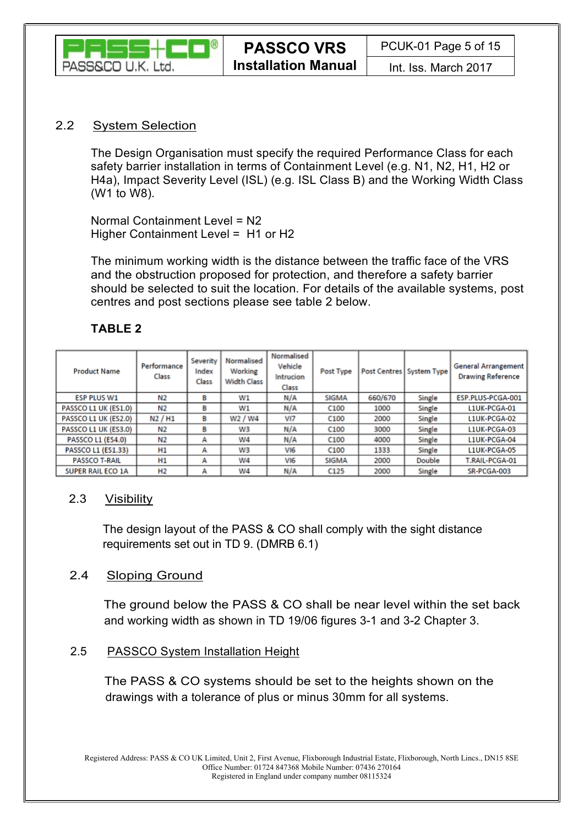

#### 2.2 System Selection

The Design Organisation must specify the required Performance Class for each safety barrier installation in terms of Containment Level (e.g. N1, N2, H1, H2 or H4a), Impact Severity Level (ISL) (e.g. ISL Class B) and the Working Width Class (W1 to W8).

Normal Containment Level = N2 Higher Containment Level = H1 or H2

The minimum working width is the distance between the traffic face of the VRS and the obstruction proposed for protection, and therefore a safety barrier should be selected to suit the location. For details of the available systems, post centres and post sections please see table 2 below.

## TABLE 2

| <b>Product Name</b>      | Performance<br>Class | Severity<br>Index<br>Class | Normalised<br>Working<br><b>Width Class</b> | Normalised<br>Vehicle<br>Intrucion<br>Class | Post Type        |         | Post Centres   System Type | <b>General Arrangement</b><br><b>Drawing Reference</b> |
|--------------------------|----------------------|----------------------------|---------------------------------------------|---------------------------------------------|------------------|---------|----------------------------|--------------------------------------------------------|
| <b>ESP PLUS W1</b>       | N2                   | в                          | W1                                          | N/A                                         | <b>SIGMA</b>     | 660/670 | Single                     | ESP.PLUS-PCGA-001                                      |
| PASSCO L1 UK (ES1.0)     | Ν2                   | в                          | W1                                          | N/A                                         | C <sub>100</sub> | 1000    | Single                     | L1UK-PCGA-01                                           |
| PASSCO L1 UK (ES2.0)     | N2/H1                | в                          | W2 / W4                                     | VI7                                         | C <sub>100</sub> | 2000    | Single                     | L1UK-PCGA-02                                           |
| PASSCO L1 UK (ES3.0)     | N2                   | в                          | W3                                          | N/A                                         | C <sub>100</sub> | 3000    | Single                     | L1UK-PCGA-03                                           |
| PASSCO L1 (ES4.0)        | N2                   | А                          | W4                                          | N/A                                         | C <sub>100</sub> | 4000    | Single                     | L1UK-PCGA-04                                           |
| PASSCO L1 (ES1.33)       | H1                   | А                          | W3                                          | VI6                                         | C <sub>100</sub> | 1333    | Single                     | L1UK-PCGA-05                                           |
| <b>PASSCO T-RAIL</b>     | Н1                   | А                          | W4                                          | VI6                                         | <b>SIGMA</b>     | 2000    | Double                     | T.RAIL-PCGA-01                                         |
| <b>SUPER RAIL ECO 1A</b> | H <sub>2</sub>       | А                          | W4                                          | N/A                                         | C125             | 2000    | Single                     | SR-PCGA-003                                            |

## 2.3 Visibility

The design layout of the PASS & CO shall comply with the sight distance requirements set out in TD 9. (DMRB 6.1)

## 2.4 Sloping Ground

The ground below the PASS & CO shall be near level within the set back and working width as shown in TD 19/06 figures 3-1 and 3-2 Chapter 3.

## 2.5 PASSCO System Installation Height

The PASS & CO systems should be set to the heights shown on the drawings with a tolerance of plus or minus 30mm for all systems.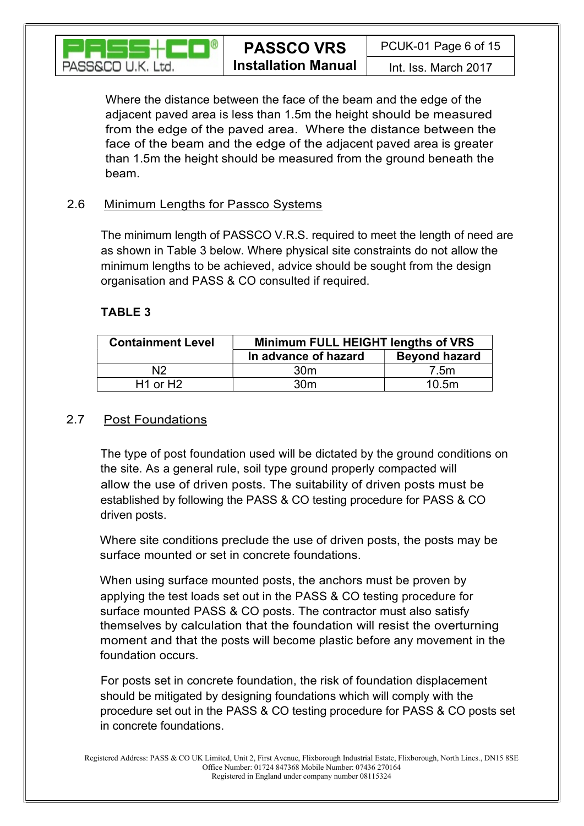

Where the distance between the face of the beam and the edge of the adjacent paved area is less than 1.5m the height should be measured from the edge of the paved area. Where the distance between the face of the beam and the edge of the adjacent paved area is greater than 1.5m the height should be measured from the ground beneath the beam.

## 2.6 Minimum Lengths for Passco Systems

The minimum length of PASSCO V.R.S. required to meet the length of need are as shown in Table 3 below. Where physical site constraints do not allow the minimum lengths to be achieved, advice should be sought from the design organisation and PASS & CO consulted if required.

## TABLE 3

| <b>Containment Level</b> | Minimum FULL HEIGHT lengths of VRS |                      |  |  |  |
|--------------------------|------------------------------------|----------------------|--|--|--|
|                          | In advance of hazard               | <b>Beyond hazard</b> |  |  |  |
| N <sub>2</sub>           | 30 <sub>m</sub>                    | 7.5m                 |  |  |  |
| $H1$ or $H2$             | 30 <sub>m</sub>                    | 10.5m                |  |  |  |

## 2.7 Post Foundations

The type of post foundation used will be dictated by the ground conditions on the site. As a general rule, soil type ground properly compacted will allow the use of driven posts. The suitability of driven posts must be established by following the PASS & CO testing procedure for PASS & CO driven posts.

Where site conditions preclude the use of driven posts, the posts may be surface mounted or set in concrete foundations.

When using surface mounted posts, the anchors must be proven by applying the test loads set out in the PASS & CO testing procedure for surface mounted PASS & CO posts. The contractor must also satisfy themselves by calculation that the foundation will resist the overturning moment and that the posts will become plastic before any movement in the foundation occurs.

For posts set in concrete foundation, the risk of foundation displacement should be mitigated by designing foundations which will comply with the procedure set out in the PASS & CO testing procedure for PASS & CO posts set in concrete foundations.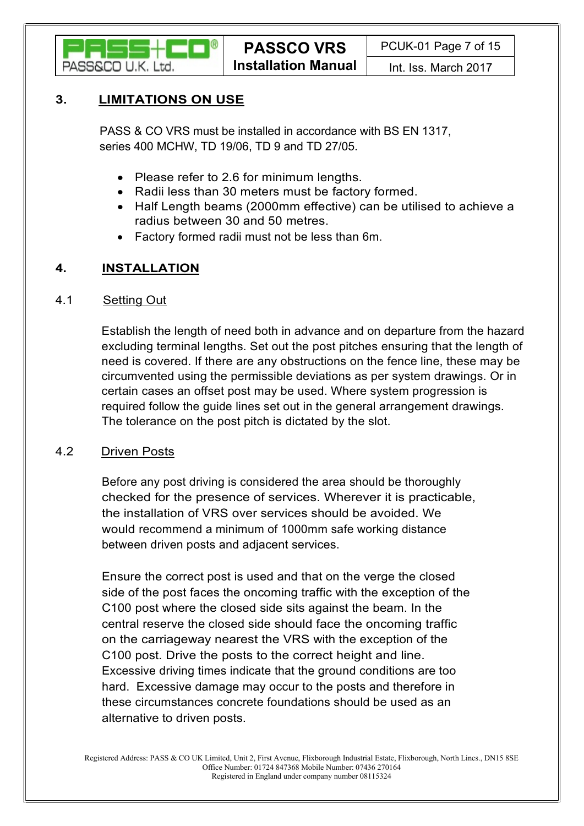

## 3. LIMITATIONS ON USE

PASS & CO VRS must be installed in accordance with BS EN 1317, series 400 MCHW, TD 19/06, TD 9 and TD 27/05.

- Please refer to 2.6 for minimum lengths.
- Radii less than 30 meters must be factory formed.
- Half Length beams (2000mm effective) can be utilised to achieve a radius between 30 and 50 metres.
- Factory formed radii must not be less than 6m.

## 4. INSTALLATION

#### 4.1 Setting Out

Establish the length of need both in advance and on departure from the hazard excluding terminal lengths. Set out the post pitches ensuring that the length of need is covered. If there are any obstructions on the fence line, these may be circumvented using the permissible deviations as per system drawings. Or in certain cases an offset post may be used. Where system progression is required follow the guide lines set out in the general arrangement drawings. The tolerance on the post pitch is dictated by the slot.

#### 4.2 Driven Posts

Before any post driving is considered the area should be thoroughly checked for the presence of services. Wherever it is practicable, the installation of VRS over services should be avoided. We would recommend a minimum of 1000mm safe working distance between driven posts and adjacent services.

Ensure the correct post is used and that on the verge the closed side of the post faces the oncoming traffic with the exception of the C100 post where the closed side sits against the beam. In the central reserve the closed side should face the oncoming traffic on the carriageway nearest the VRS with the exception of the C100 post. Drive the posts to the correct height and line. Excessive driving times indicate that the ground conditions are too hard. Excessive damage may occur to the posts and therefore in these circumstances concrete foundations should be used as an alternative to driven posts.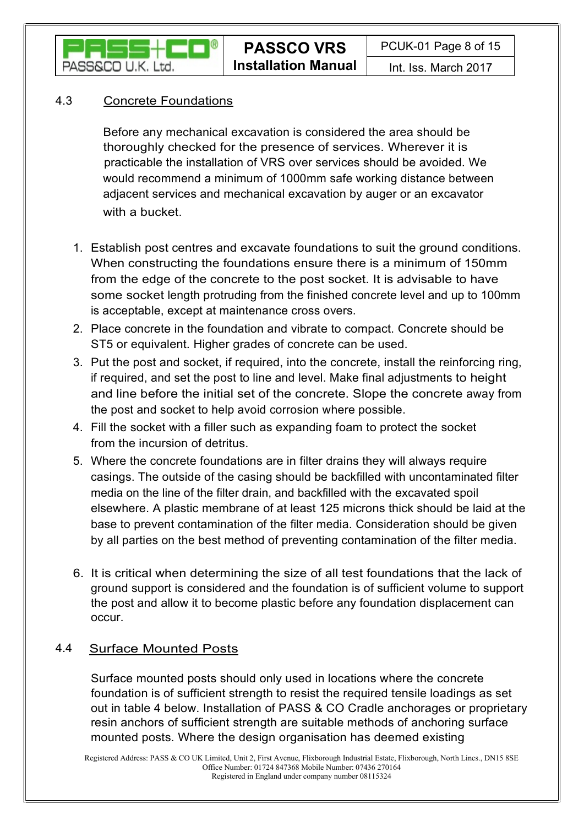

## 4.3 Concrete Foundations

Before any mechanical excavation is considered the area should be thoroughly checked for the presence of services. Wherever it is practicable the installation of VRS over services should be avoided. We would recommend a minimum of 1000mm safe working distance between adjacent services and mechanical excavation by auger or an excavator

- with a bucket.<br>1. Establish post centres and excavate foundations to suit the ground conditions. When constructing the foundations ensure there is a minimum of 150mm from the edge of the concrete to the post socket. It is advisable to have some socket length protruding from the finished concrete level and up to 100mm is acceptable, except at maintenance cross overs.
- 2. Place concrete in the foundation and vibrate to compact. Concrete should be ST5 or equivalent. Higher grades of concrete can be used.
- 3. Put the post and socket, if required, into the concrete, install the reinforcing ring, if required, and set the post to line and level. Make final adjustments to height and line before the initial set of the concrete. Slope the concrete away from the post and socket to help avoid corrosion where possible.
- 4. Fill the socket with a filler such as expanding foam to protect the socket from the incursion of detritus.
- 5. Where the concrete foundations are in filter drains they will always require casings. The outside of the casing should be backfilled with uncontaminated filter media on the line of the filter drain, and backfilled with the excavated spoil elsewhere. A plastic membrane of at least 125 microns thick should be laid at the base to prevent contamination of the filter media. Consideration should be given by all parties on the best method of preventing contamination of the filter media.
- 6. It is critical when determining the size of all test foundations that the lack of ground support is considered and the foundation is of sufficient volume to support the post and allow it to become plastic before any foundation displacement can occur.

## 4.4 Surface Mounted Posts

Surface mounted posts should only used in locations where the concrete foundation is of sufficient strength to resist the required tensile loadings as set out in table 4 below. Installation of PASS & CO Cradle anchorages or proprietary resin anchors of sufficient strength are suitable methods of anchoring surface mounted posts. Where the design organisation has deemed existing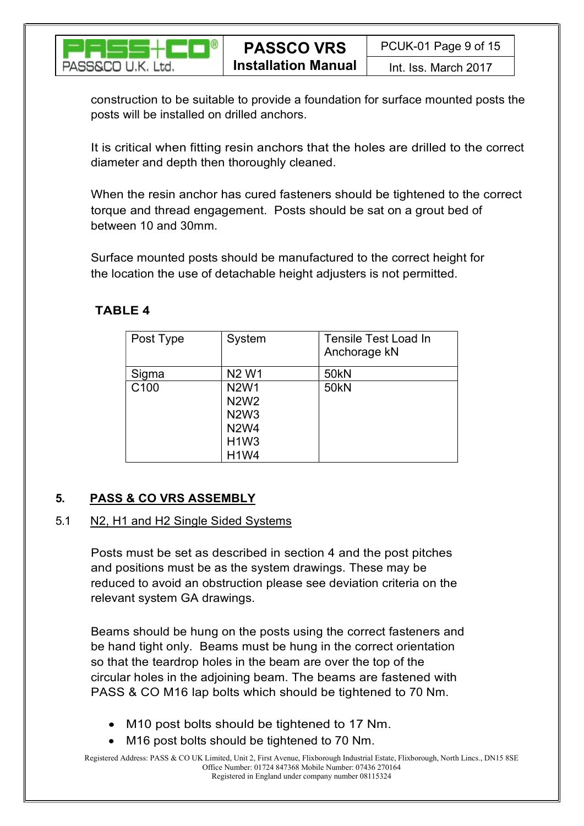

construction to be suitable to provide a foundation for surface mounted posts the posts will be installed on drilled anchors.

It is critical when fitting resin anchors that the holes are drilled to the correct diameter and depth then thoroughly cleaned.

When the resin anchor has cured fasteners should be tightened to the correct torque and thread engagement. Posts should be sat on a grout bed of between 10 and 30mm.

Surface mounted posts should be manufactured to the correct height for the location the use of detachable height adjusters is not permitted.

## TABLE 4

| Post Type        | System                                                                                 | Tensile Test Load In<br>Anchorage kN |
|------------------|----------------------------------------------------------------------------------------|--------------------------------------|
| Sigma            | N <sub>2</sub> W <sub>1</sub>                                                          | 50 <sub>kN</sub>                     |
| C <sub>100</sub> | <b>N2W1</b><br><b>N2W2</b><br><b>N2W3</b><br><b>N2W4</b><br><b>H1W3</b><br><b>H1W4</b> | <b>50kN</b>                          |

## 5. PASS & CO VRS ASSEMBLY

## 5.1 N2, H1 and H2 Single Sided Systems

Posts must be set as described in section 4 and the post pitches and positions must be as the system drawings. These may be reduced to avoid an obstruction please see deviation criteria on the relevant system GA drawings.

Beams should be hung on the posts using the correct fasteners and be hand tight only. Beams must be hung in the correct orientation so that the teardrop holes in the beam are over the top of the circular holes in the adjoining beam. The beams are fastened with PASS & CO M16 lap bolts which should be tightened to 70 Nm.

- M10 post bolts should be tightened to 17 Nm.
- M16 post bolts should be tightened to 70 Nm.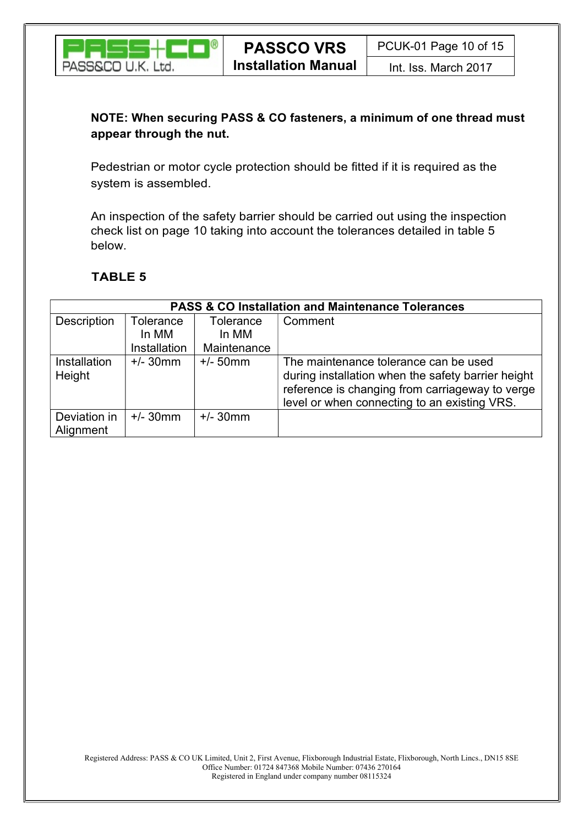

## NOTE: When securing PASS & CO fasteners, a minimum of one thread must appear through the nut.

Pedestrian or motor cycle protection should be fitted if it is required as the system is assembled.

An inspection of the safety barrier should be carried out using the inspection check list on page 10 taking into account the tolerances detailed in table 5 below.

## TABLE 5

| <b>PASS &amp; CO Installation and Maintenance Tolerances</b> |              |             |                                                                                                                                                                                                |  |  |  |  |
|--------------------------------------------------------------|--------------|-------------|------------------------------------------------------------------------------------------------------------------------------------------------------------------------------------------------|--|--|--|--|
| Description                                                  | Tolerance    | Tolerance   | Comment                                                                                                                                                                                        |  |  |  |  |
|                                                              | In MM        | In MM       |                                                                                                                                                                                                |  |  |  |  |
|                                                              | Installation | Maintenance |                                                                                                                                                                                                |  |  |  |  |
| <b>Installation</b><br>Height                                | $+/- 30$ mm  | $+/- 50$ mm | The maintenance tolerance can be used<br>during installation when the safety barrier height<br>reference is changing from carriageway to verge<br>level or when connecting to an existing VRS. |  |  |  |  |
| Deviation in<br>Alignment                                    | $+/- 30$ mm  | $+/- 30$ mm |                                                                                                                                                                                                |  |  |  |  |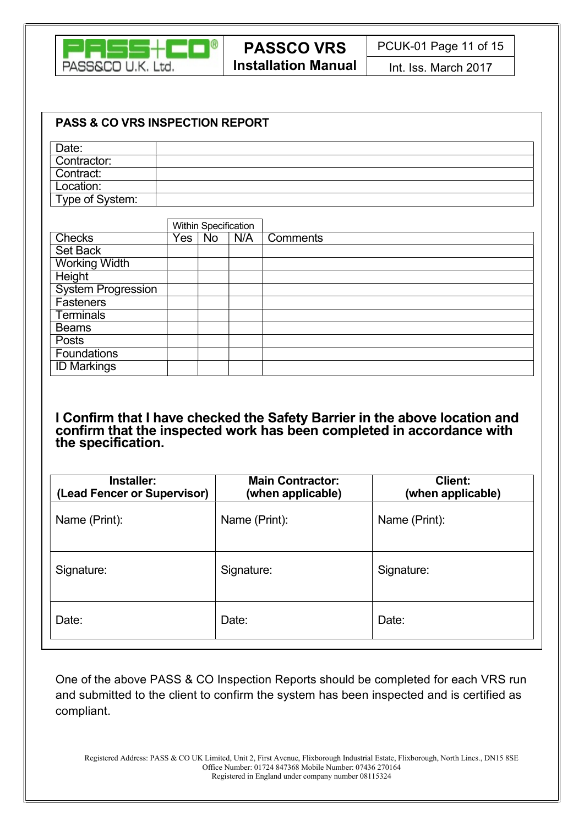

| <b>PASS &amp; CO VRS INSPECTION REPORT</b> |     |    |                      |          |  |
|--------------------------------------------|-----|----|----------------------|----------|--|
| Date:                                      |     |    |                      |          |  |
| Contractor:                                |     |    |                      |          |  |
| Contract:                                  |     |    |                      |          |  |
| Location:                                  |     |    |                      |          |  |
| Type of System:                            |     |    |                      |          |  |
|                                            |     |    |                      |          |  |
|                                            |     |    | Within Specification |          |  |
| <b>Checks</b>                              | Yes | No | N/A                  | Comments |  |
| Set Back                                   |     |    |                      |          |  |
| <b>Working Width</b>                       |     |    |                      |          |  |
| <b>Height</b>                              |     |    |                      |          |  |
| <b>System Progression</b>                  |     |    |                      |          |  |
| Fasteners                                  |     |    |                      |          |  |
| <b>Terminals</b>                           |     |    |                      |          |  |
| <b>Beams</b>                               |     |    |                      |          |  |
| Posts                                      |     |    |                      |          |  |
| Foundations                                |     |    |                      |          |  |
| <b>ID Markings</b>                         |     |    |                      |          |  |
|                                            |     |    |                      |          |  |

#### I Confirm that I have checked the Safety Barrier in the above location and confirm that the inspected work has been completed in accordance with the specification.

| Installer:<br>(Lead Fencer or Supervisor) | <b>Main Contractor:</b><br>(when applicable) | <b>Client:</b><br>(when applicable) |
|-------------------------------------------|----------------------------------------------|-------------------------------------|
| Name (Print):                             | Name (Print):                                | Name (Print):                       |
| Signature:                                | Signature:                                   | Signature:                          |
| Date:                                     | Date:                                        | Date:                               |

One of the above PASS & CO Inspection Reports should be completed for each VRS run and submitted to the client to confirm the system has been inspected and is certified as compliant.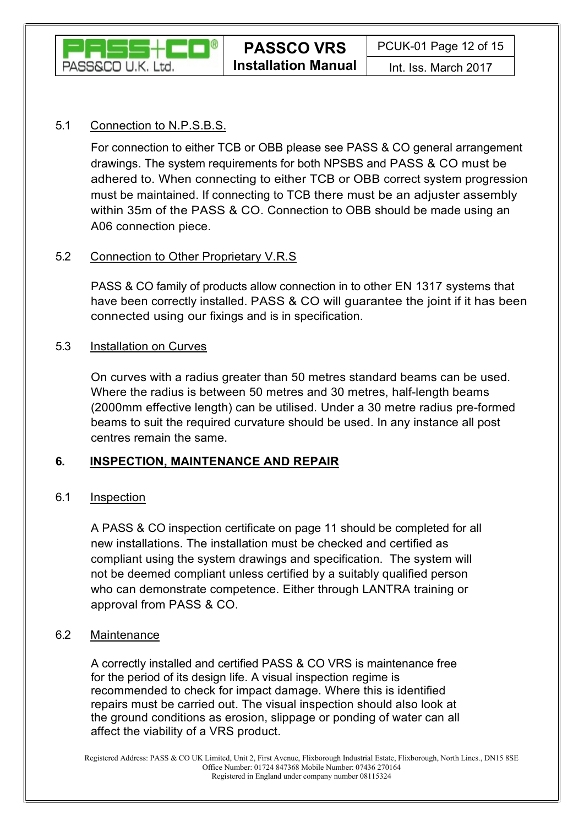

## 5.1 Connection to N.P.S.B.S.

For connection to either TCB or OBB please see PASS & CO general arrangement drawings. The system requirements for both NPSBS and PASS & CO must be adhered to. When connecting to either TCB or OBB correct system progression must be maintained. If connecting to TCB there must be an adjuster assembly within 35m of the PASS & CO. Connection to OBB should be made using an A06 connection piece.

## 5.2 Connection to Other Proprietary V.R.S

PASS & CO family of products allow connection in to other EN 1317 systems that have been correctly installed. PASS & CO will guarantee the joint if it has been connected using our fixings and is in specification.

## 5.3 Installation on Curves

On curves with a radius greater than 50 metres standard beams can be used. Where the radius is between 50 metres and 30 metres, half-length beams (2000mm effective length) can be utilised. Under a 30 metre radius pre-formed beams to suit the required curvature should be used. In any instance all post centres remain the same.

## 6. INSPECTION, MAINTENANCE AND REPAIR

## 6.1 Inspection

A PASS & CO inspection certificate on page 11 should be completed for all new installations. The installation must be checked and certified as compliant using the system drawings and specification. The system will not be deemed compliant unless certified by a suitably qualified person who can demonstrate competence. Either through LANTRA training or approval from PASS & CO.

## 6.2 Maintenance

A correctly installed and certified PASS & CO VRS is maintenance free for the period of its design life. A visual inspection regime is recommended to check for impact damage. Where this is identified repairs must be carried out. The visual inspection should also look at the ground conditions as erosion, slippage or ponding of water can all affect the viability of a VRS product.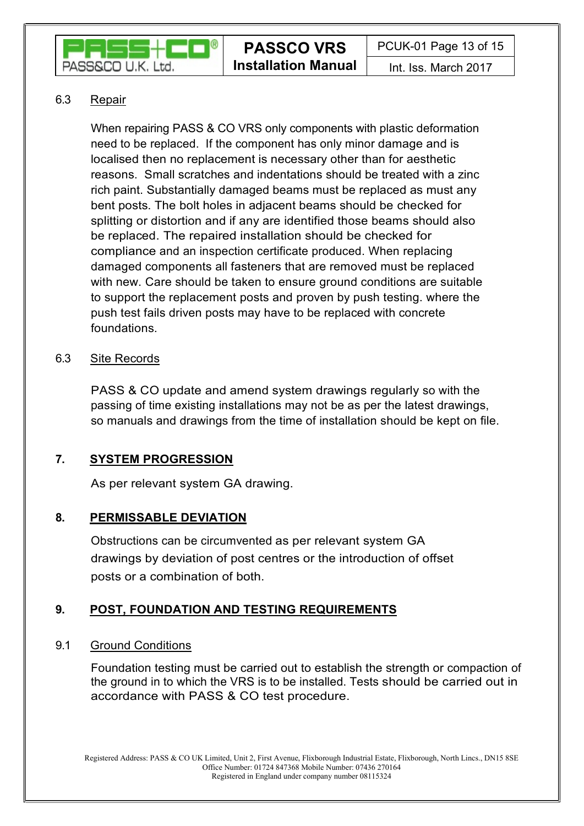

## 6.3 Repair

When repairing PASS & CO VRS only components with plastic deformation need to be replaced. If the component has only minor damage and is localised then no replacement is necessary other than for aesthetic reasons. Small scratches and indentations should be treated with a zinc rich paint. Substantially damaged beams must be replaced as must any bent posts. The bolt holes in adjacent beams should be checked for splitting or distortion and if any are identified those beams should also be replaced. The repaired installation should be checked for compliance and an inspection certificate produced. When replacing damaged components all fasteners that are removed must be replaced with new. Care should be taken to ensure ground conditions are suitable to support the replacement posts and proven by push testing. where the push test fails driven posts may have to be replaced with concrete foundations.

## 6.3 Site Records

PASS & CO update and amend system drawings regularly so with the passing of time existing installations may not be as per the latest drawings, so manuals and drawings from the time of installation should be kept on file.

## 7. SYSTEM PROGRESSION

As per relevant system GA drawing.

## 8. PERMISSABLE DEVIATION

Obstructions can be circumvented as per relevant system GA drawings by deviation of post centres or the introduction of offset posts or a combination of both.

## 9. POST, FOUNDATION AND TESTING REQUIREMENTS

## 9.1 Ground Conditions

Foundation testing must be carried out to establish the strength or compaction of the ground in to which the VRS is to be installed. Tests should be carried out in accordance with PASS & CO test procedure.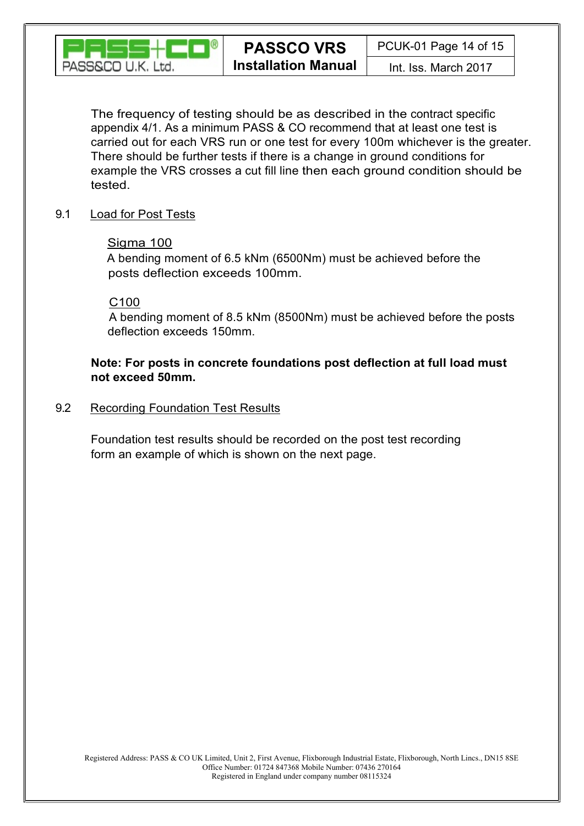

The frequency of testing should be as described in the contract specific appendix 4/1. As a minimum PASS & CO recommend that at least one test is carried out for each VRS run or one test for every 100m whichever is the greater. There should be further tests if there is a change in ground conditions for example the VRS crosses a cut fill line then each ground condition should be tested.

## 9.1 Load for Post Tests

## Sigma 100

A bending moment of 6.5 kNm (6500Nm) must be achieved before the posts deflection exceeds 100mm.

## $C100$

 A bending moment of 8.5 kNm (8500Nm) must be achieved before the posts deflection exceeds 150mm.

## Note: For posts in concrete foundations post deflection at full load must not exceed 50mm.

## 9.2 Recording Foundation Test Results

Foundation test results should be recorded on the post test recording form an example of which is shown on the next page.